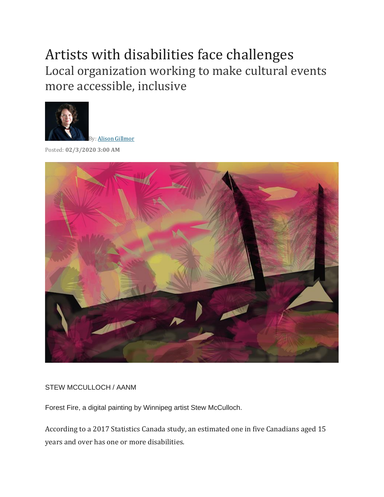## Artists with disabilities face challenges Local organization working to make cultural events more accessible, inclusive



Posted: **02/3/2020 3:00 AM**



## STEW MCCULLOCH / AANM

Forest Fire, a digital painting by Winnipeg artist Stew McCulloch.

According to a 2017 Statistics Canada study, an estimated one in five Canadians aged 15 years and over has one or more disabilities.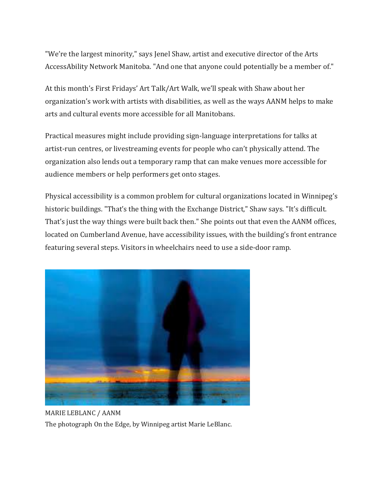"We're the largest minority," says Jenel Shaw, artist and executive director of the Arts AccessAbility Network Manitoba. "And one that anyone could potentially be a member of."

At this month's First Fridays' Art Talk/Art Walk, we'll speak with Shaw about her organization's work with artists with disabilities, as well as the ways AANM helps to make arts and cultural events more accessible for all Manitobans.

Practical measures might include providing sign-language interpretations for talks at artist-run centres, or livestreaming events for people who can't physically attend. The organization also lends out a temporary ramp that can make venues more accessible for audience members or help performers get onto stages.

Physical accessibility is a common problem for cultural organizations located in Winnipeg's historic buildings. "That's the thing with the Exchange District," Shaw says. "It's difficult. That's just the way things were built back then." She points out that even the AANM offices, located on Cumberland Avenue, have accessibility issues, with the building's front entrance featuring several steps. Visitors in wheelchairs need to use a side-door ramp.



MARIE LEBLANC / AANM The photograph On the Edge, by Winnipeg artist Marie LeBlanc.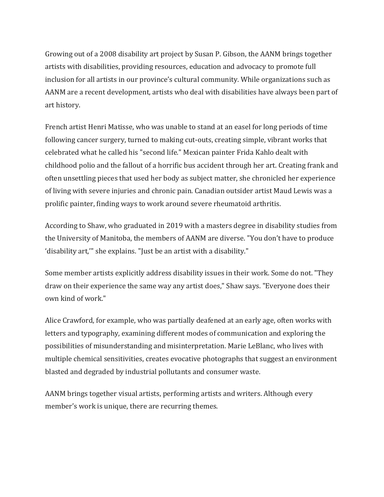Growing out of a 2008 disability art project by Susan P. Gibson, the AANM brings together artists with disabilities, providing resources, education and advocacy to promote full inclusion for all artists in our province's cultural community. While organizations such as AANM are a recent development, artists who deal with disabilities have always been part of art history.

French artist Henri Matisse, who was unable to stand at an easel for long periods of time following cancer surgery, turned to making cut-outs, creating simple, vibrant works that celebrated what he called his "second life." Mexican painter Frida Kahlo dealt with childhood polio and the fallout of a horrific bus accident through her art. Creating frank and often unsettling pieces that used her body as subject matter, she chronicled her experience of living with severe injuries and chronic pain. Canadian outsider artist Maud Lewis was a prolific painter, finding ways to work around severe rheumatoid arthritis.

According to Shaw, who graduated in 2019 with a masters degree in disability studies from the University of Manitoba, the members of AANM are diverse. "You don't have to produce 'disability art,'" she explains. "Just be an artist with a disability."

Some member artists explicitly address disability issues in their work. Some do not. "They draw on their experience the same way any artist does," Shaw says. "Everyone does their own kind of work."

Alice Crawford, for example, who was partially deafened at an early age, often works with letters and typography, examining different modes of communication and exploring the possibilities of misunderstanding and misinterpretation. Marie LeBlanc, who lives with multiple chemical sensitivities, creates evocative photographs that suggest an environment blasted and degraded by industrial pollutants and consumer waste.

AANM brings together visual artists, performing artists and writers. Although every member's work is unique, there are recurring themes.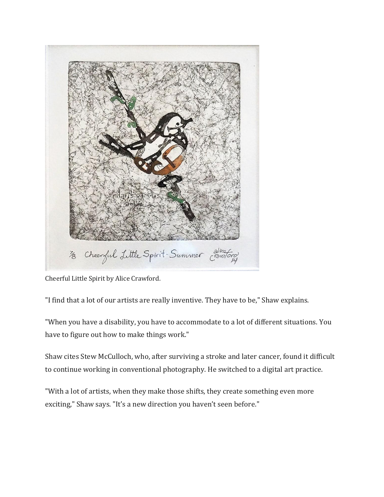

Cheerful Little Spirit by Alice Crawford.

"I find that a lot of our artists are really inventive. They have to be," Shaw explains.

"When you have a disability, you have to accommodate to a lot of different situations. You have to figure out how to make things work."

Shaw cites Stew McCulloch, who, after surviving a stroke and later cancer, found it difficult to continue working in conventional photography. He switched to a digital art practice.

"With a lot of artists, when they make those shifts, they create something even more exciting," Shaw says. "It's a new direction you haven't seen before."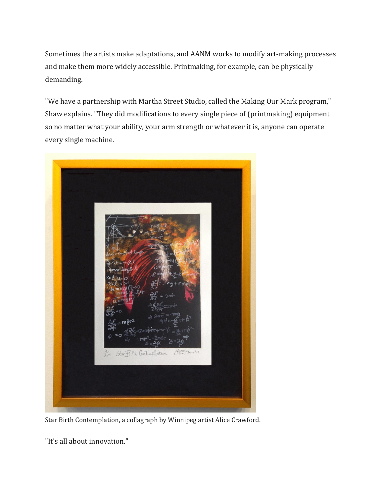Sometimes the artists make adaptations, and AANM works to modify art-making processes and make them more widely accessible. Printmaking, for example, can be physically demanding.

"We have a partnership with Martha Street Studio, called the Making Our Mark program," Shaw explains. "They did modifications to every single piece of (printmaking) equipment so no matter what your ability, your arm strength or whatever it is, anyone can operate every single machine.



Star Birth Contemplation, a collagraph by Winnipeg artist Alice Crawford.

"It's all about innovation."